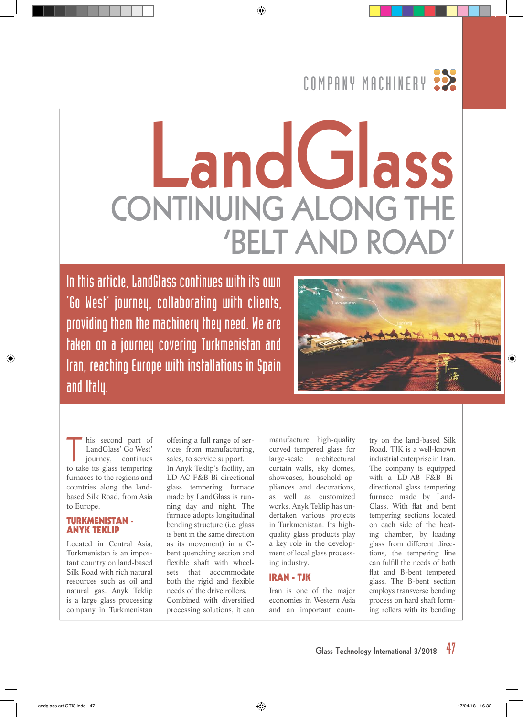# COMPANY MACHINERY :

# **LandGlass CONTINUING ALONG TH 'BELT AND**

In this article, LandGlass continues with its own 'Go West' journey, collaborating with clients, providing them the machinery they need. We are taken on a journey covering Turkmenistan and Iran, reaching Europe with installations in Spain and Italy.



his second part of LandGlass' Go West' journey, continues to take its glass tempering furnaces to the regions and countries along the landbased Silk Road, from Asia to Europe.

### **TURKMENISTAN - ANYK TEKLIP**

Located in Central Asia, Turkmenistan is an important country on land-based Silk Road with rich natural resources such as oil and natural gas. Anyk Teklip is a large glass processing company in Turkmenistan

offering a full range of services from manufacturing, sales, to service support.

In Anyk Teklip's facility, an LD-AC F&B Bi-directional glass tempering furnace made by LandGlass is running day and night. The furnace adopts longitudinal bending structure (i.e. glass is bent in the same direction as its movement) in a Cbent quenching section and flexible shaft with wheelsets that accommodate both the rigid and flexible needs of the drive rollers. Combined with diversified processing solutions, it can

manufacture high-quality curved tempered glass for large-scale architectural curtain walls, sky domes, showcases, household appliances and decorations, as well as customized works. Anyk Teklip has undertaken various projects in Turkmenistan. Its highquality glass products play a key role in the development of local glass processing industry.

# **IRAN - TJK**

Iran is one of the major economies in Western Asia and an important coun-

try on the land-based Silk Road. TJK is a well-known industrial enterprise in Iran. The company is equipped with a LD-AB F&B Bidirectional glass tempering furnace made by Land-Glass. With flat and bent tempering sections located on each side of the heating chamber, by loading glass from different directions, the tempering line can fulfill the needs of both flat and B-bent tempered glass. The B-bent section employs transverse bending process on hard shaft forming rollers with its bending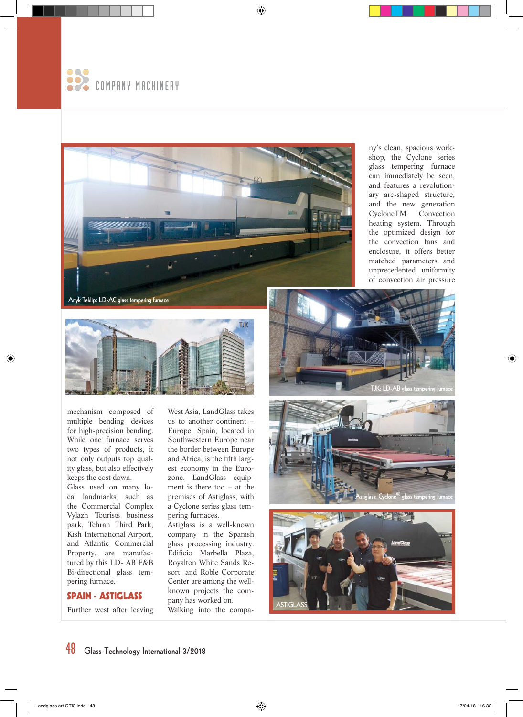



ny's clean, spacious workshop, the Cyclone series glass tempering furnace can immediately be seen, and features a revolutionary arc-shaped structure, and the new generation CycloneTM Convection heating system. Through the optimized design for the convection fans and enclosure, it offers better matched parameters and unprecedented uniformity of convection air pressure

**Anyk Teklip: LD-AC glass tempering furnace**



mechanism composed of multiple bending devices for high-precision bending. While one furnace serves two types of products, it not only outputs top quality glass, but also effectively keeps the cost down.

Glass used on many local landmarks, such as the Commercial Complex Vylazh Tourists business park, Tehran Third Park, Kish International Airport, and Atlantic Commercial Property, are manufactured by this LD- AB F&B Bi-directional glass tempering furnace.

# **SPAIN - ASTIGLASS**

Further west after leaving

West Asia, LandGlass takes us to another continent – Europe. Spain, located in Southwestern Europe near the border between Europe and Africa, is the fifth largest economy in the Eurozone. LandGlass equipment is there too – at the premises of Astiglass, with a Cyclone series glass tempering furnaces.

Astiglass is a well-known company in the Spanish glass processing industry. Edificio Marbella Plaza, Royalton White Sands Resort, and Roble Corporate Center are among the wellknown projects the company has worked on. Walking into the compa-